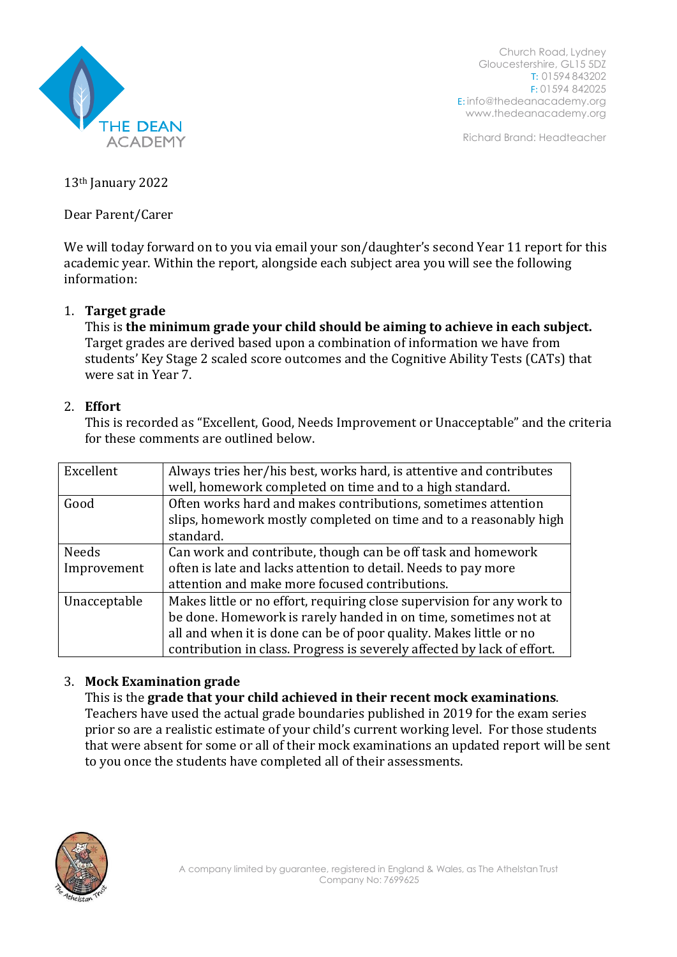

Church Road, Lydney Gloucestershire, GL15 5DZ T: 01594 843202 F: 01594 842025 E: [info@thedeanacademy.org](mailto:info@thedeanacademy.org) [www.thedeanacademy.org](http://www.thedeanacademy.org/)

Richard Brand: Headteacher

13th January 2022

Dear Parent/Carer

We will today forward on to you via email your son/daughter's second Year 11 report for this academic year. Within the report, alongside each subject area you will see the following information:

# 1. **Target grade**

This is **the minimum grade your child should be aiming to achieve in each subject.** Target grades are derived based upon a combination of information we have from students' Key Stage 2 scaled score outcomes and the Cognitive Ability Tests (CATs) that were sat in Year 7.

# 2. **Effort**

This is recorded as "Excellent, Good, Needs Improvement or Unacceptable" and the criteria for these comments are outlined below.

| Excellent    | Always tries her/his best, works hard, is attentive and contributes<br>well, homework completed on time and to a high standard. |
|--------------|---------------------------------------------------------------------------------------------------------------------------------|
| Good         | Often works hard and makes contributions, sometimes attention                                                                   |
|              | slips, homework mostly completed on time and to a reasonably high                                                               |
|              | standard.                                                                                                                       |
| <b>Needs</b> | Can work and contribute, though can be off task and homework                                                                    |
| Improvement  | often is late and lacks attention to detail. Needs to pay more                                                                  |
|              | attention and make more focused contributions.                                                                                  |
| Unacceptable | Makes little or no effort, requiring close supervision for any work to                                                          |
|              | be done. Homework is rarely handed in on time, sometimes not at                                                                 |
|              | all and when it is done can be of poor quality. Makes little or no                                                              |
|              | contribution in class. Progress is severely affected by lack of effort.                                                         |

# 3. **Mock Examination grade**

This is the **grade that your child achieved in their recent mock examinations**. Teachers have used the actual grade boundaries published in 2019 for the exam series prior so are a realistic estimate of your child's current working level. For those students that were absent for some or all of their mock examinations an updated report will be sent to you once the students have completed all of their assessments.